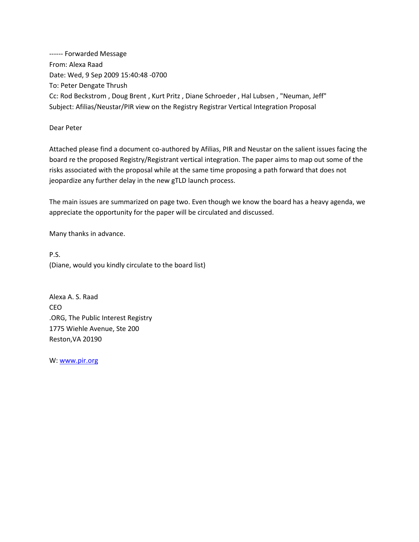------ Forwarded Message From: Alexa Raad Date: Wed, 9 Sep 2009 15:40:48 -0700 To: Peter Dengate Thrush Cc: Rod Beckstrom , Doug Brent , Kurt Pritz , Diane Schroeder , Hal Lubsen , "Neuman, Jeff" Subject: Afilias/Neustar/PIR view on the Registry Registrar Vertical Integration Proposal

#### Dear Peter

Attached please find a document co-authored by Afilias, PIR and Neustar on the salient issues facing the board re the proposed Registry/Registrant vertical integration. The paper aims to map out some of the risks associated with the proposal while at the same time proposing a path forward that does not jeopardize any further delay in the new gTLD launch process.

The main issues are summarized on page two. Even though we know the board has a heavy agenda, we appreciate the opportunity for the paper will be circulated and discussed.

Many thanks in advance.

P.S. (Diane, would you kindly circulate to the board list)

Alexa A. S. Raad CEO .ORG, The Public Interest Registry 1775 Wiehle Avenue, Ste 200 Reston,VA 20190

W: [www.pir.org](http://www.pir.org/)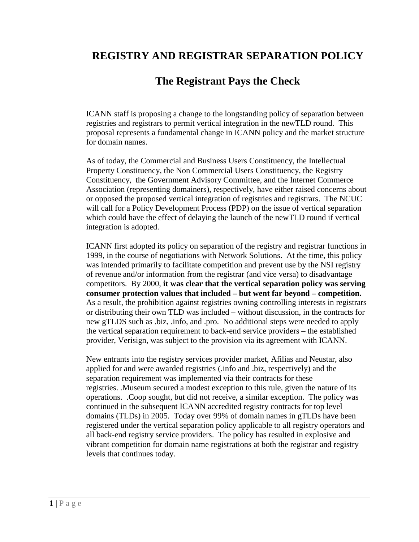# **REGISTRY AND REGISTRAR SEPARATION POLICY**

# **The Registrant Pays the Check**

ICANN staff is proposing a change to the longstanding policy of separation between registries and registrars to permit vertical integration in the newTLD round. This proposal represents a fundamental change in ICANN policy and the market structure for domain names.

As of today, the Commercial and Business Users Constituency, the Intellectual Property Constituency, the Non Commercial Users Constituency, the Registry Constituency, the Government Advisory Committee, and the Internet Commerce Association (representing domainers), respectively, have either raised concerns about or opposed the proposed vertical integration of registries and registrars. The NCUC will call for a Policy Development Process (PDP) on the issue of vertical separation which could have the effect of delaying the launch of the newTLD round if vertical integration is adopted.

ICANN first adopted its policy on separation of the registry and registrar functions in 1999, in the course of negotiations with Network Solutions. At the time, this policy was intended primarily to facilitate competition and prevent use by the NSI registry of revenue and/or information from the registrar (and vice versa) to disadvantage competitors. By 2000, **it was clear that the vertical separation policy was serving consumer protection values that included – but went far beyond – competition.** As a result, the prohibition against registries owning controlling interests in registrars or distributing their own TLD was included – without discussion, in the contracts for new gTLDS such as .biz, .info, and .pro. No additional steps were needed to apply the vertical separation requirement to back-end service providers – the established provider, Verisign, was subject to the provision via its agreement with ICANN.

New entrants into the registry services provider market, Afilias and Neustar, also applied for and were awarded registries (.info and .biz, respectively) and the separation requirement was implemented via their contracts for these registries. .Museum secured a modest exception to this rule, given the nature of its operations. .Coop sought, but did not receive, a similar exception. The policy was continued in the subsequent ICANN accredited registry contracts for top level domains (TLDs) in 2005. Today over 99% of domain names in gTLDs have been registered under the vertical separation policy applicable to all registry operators and all back-end registry service providers. The policy has resulted in explosive and vibrant competition for domain name registrations at both the registrar and registry levels that continues today.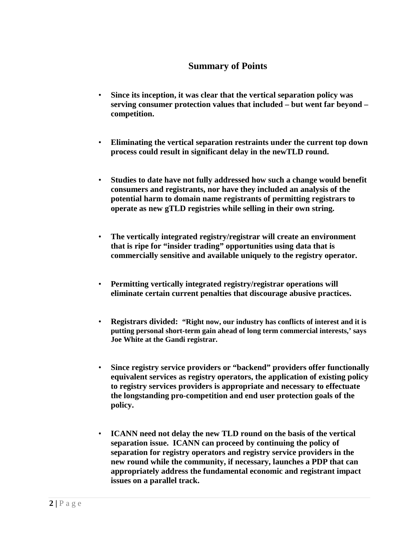## **Summary of Points**

- **Since its inception, it was clear that the vertical separation policy was serving consumer protection values that included – but went far beyond – competition.**
- **Eliminating the vertical separation restraints under the current top down process could result in significant delay in the newTLD round.**
- **Studies to date have not fully addressed how such a change would benefit consumers and registrants, nor have they included an analysis of the potential harm to domain name registrants of permitting registrars to operate as new gTLD registries while selling in their own string.**
- **The vertically integrated registry/registrar will create an environment that is ripe for "insider trading" opportunities using data that is commercially sensitive and available uniquely to the registry operator.**
- **Permitting vertically integrated registry/registrar operations will eliminate certain current penalties that discourage abusive practices.**
- **Registrars divided: "Right now, our industry has conflicts of interest and it is putting personal short-term gain ahead of long term commercial interests,' says Joe White at the Gandi registrar.**
- **Since registry service providers or "backend" providers offer functionally equivalent services as registry operators, the application of existing policy to registry services providers is appropriate and necessary to effectuate the longstanding pro-competition and end user protection goals of the policy.**
- **ICANN need not delay the new TLD round on the basis of the vertical separation issue. ICANN can proceed by continuing the policy of separation for registry operators and registry service providers in the new round while the community, if necessary, launches a PDP that can appropriately address the fundamental economic and registrant impact issues on a parallel track.**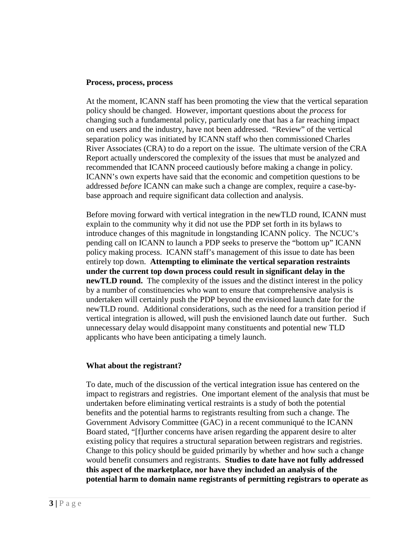#### **Process, process, process**

At the moment, ICANN staff has been promoting the view that the vertical separation policy should be changed. However, important questions about the *process* for changing such a fundamental policy, particularly one that has a far reaching impact on end users and the industry, have not been addressed. "Review" of the vertical separation policy was initiated by ICANN staff who then commissioned Charles River Associates (CRA) to do a report on the issue. The ultimate version of the CRA Report actually underscored the complexity of the issues that must be analyzed and recommended that ICANN proceed cautiously before making a change in policy. ICANN's own experts have said that the economic and competition questions to be addressed *before* ICANN can make such a change are complex, require a case-bybase approach and require significant data collection and analysis.

Before moving forward with vertical integration in the newTLD round, ICANN must explain to the community why it did not use the PDP set forth in its bylaws to introduce changes of this magnitude in longstanding ICANN policy. The NCUC's pending call on ICANN to launch a PDP seeks to preserve the "bottom up" ICANN policy making process. ICANN staff's management of this issue to date has been entirely top down. **Attempting to eliminate the vertical separation restraints under the current top down process could result in significant delay in the newTLD round.** The complexity of the issues and the distinct interest in the policy by a number of constituencies who want to ensure that comprehensive analysis is undertaken will certainly push the PDP beyond the envisioned launch date for the newTLD round. Additional considerations, such as the need for a transition period if vertical integration is allowed, will push the envisioned launch date out further. Such unnecessary delay would disappoint many constituents and potential new TLD applicants who have been anticipating a timely launch.

#### **What about the registrant?**

To date, much of the discussion of the vertical integration issue has centered on the impact to registrars and registries. One important element of the analysis that must be undertaken before eliminating vertical restraints is a study of both the potential benefits and the potential harms to registrants resulting from such a change. The Government Advisory Committee (GAC) in a recent communiqué to the ICANN Board stated, "[f]urther concerns have arisen regarding the apparent desire to alter existing policy that requires a structural separation between registrars and registries. Change to this policy should be guided primarily by whether and how such a change would benefit consumers and registrants. **Studies to date have not fully addressed this aspect of the marketplace, nor have they included an analysis of the potential harm to domain name registrants of permitting registrars to operate as**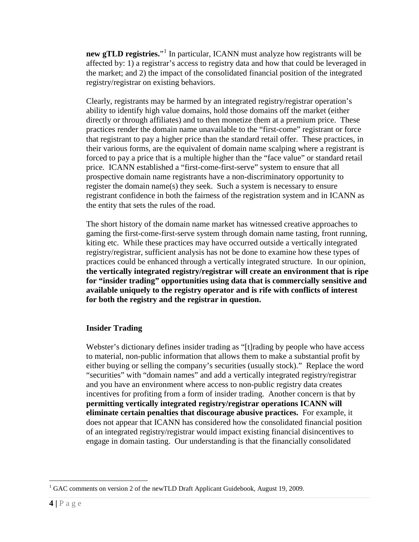**new gTLD registries.**"<sup>[1](#page-4-0)</sup> In particular, ICANN must analyze how registrants will be affected by: 1) a registrar's access to registry data and how that could be leveraged in the market; and 2) the impact of the consolidated financial position of the integrated registry/registrar on existing behaviors.

Clearly, registrants may be harmed by an integrated registry/registrar operation's ability to identify high value domains, hold those domains off the market (either directly or through affiliates) and to then monetize them at a premium price. These practices render the domain name unavailable to the "first-come" registrant or force that registrant to pay a higher price than the standard retail offer. These practices, in their various forms, are the equivalent of domain name scalping where a registrant is forced to pay a price that is a multiple higher than the "face value" or standard retail price. ICANN established a "first-come-first-serve" system to ensure that all prospective domain name registrants have a non-discriminatory opportunity to register the domain name(s) they seek. Such a system is necessary to ensure registrant confidence in both the fairness of the registration system and in ICANN as the entity that sets the rules of the road.

The short history of the domain name market has witnessed creative approaches to gaming the first-come-first-serve system through domain name tasting, front running, kiting etc. While these practices may have occurred outside a vertically integrated registry/registrar, sufficient analysis has not be done to examine how these types of practices could be enhanced through a vertically integrated structure. In our opinion, **the vertically integrated registry/registrar will create an environment that is ripe for "insider trading" opportunities using data that is commercially sensitive and available uniquely to the registry operator and is rife with conflicts of interest for both the registry and the registrar in question.**

## **Insider Trading**

Webster's dictionary defines insider trading as "[t]rading by people who have access to material, non-public information that allows them to make a substantial profit by either buying or selling the company's securities (usually stock)." Replace the word "securities" with "domain names" and add a vertically integrated registry/registrar and you have an environment where access to non-public registry data creates incentives for profiting from a form of insider trading. Another concern is that by **permitting vertically integrated registry/registrar operations ICANN will eliminate certain penalties that discourage abusive practices.** For example, it does not appear that ICANN has considered how the consolidated financial position of an integrated registry/registrar would impact existing financial disincentives to engage in domain tasting. Our understanding is that the financially consolidated

<span id="page-4-0"></span><sup>&</sup>lt;sup>1</sup> GAC comments on version 2 of the newTLD Draft Applicant Guidebook, August 19, 2009.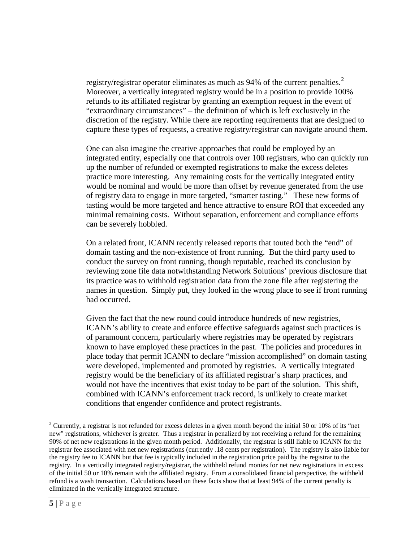registry/registrar operator eliminates as much as 94% of the current penalties.<sup>[2](#page-5-0)</sup> Moreover, a vertically integrated registry would be in a position to provide 100% refunds to its affiliated registrar by granting an exemption request in the event of "extraordinary circumstances" – the definition of which is left exclusively in the discretion of the registry. While there are reporting requirements that are designed to capture these types of requests, a creative registry/registrar can navigate around them.

One can also imagine the creative approaches that could be employed by an integrated entity, especially one that controls over 100 registrars, who can quickly run up the number of refunded or exempted registrations to make the excess deletes practice more interesting. Any remaining costs for the vertically integrated entity would be nominal and would be more than offset by revenue generated from the use of registry data to engage in more targeted, "smarter tasting." These new forms of tasting would be more targeted and hence attractive to ensure ROI that exceeded any minimal remaining costs. Without separation, enforcement and compliance efforts can be severely hobbled.

On a related front, ICANN recently released reports that touted both the "end" of domain tasting and the non-existence of front running. But the third party used to conduct the survey on front running, though reputable, reached its conclusion by reviewing zone file data notwithstanding Network Solutions' previous disclosure that its practice was to withhold registration data from the zone file after registering the names in question. Simply put, they looked in the wrong place to see if front running had occurred.

Given the fact that the new round could introduce hundreds of new registries, ICANN's ability to create and enforce effective safeguards against such practices is of paramount concern, particularly where registries may be operated by registrars known to have employed these practices in the past. The policies and procedures in place today that permit ICANN to declare "mission accomplished" on domain tasting were developed, implemented and promoted by registries. A vertically integrated registry would be the beneficiary of its affiliated registrar's sharp practices, and would not have the incentives that exist today to be part of the solution. This shift, combined with ICANN's enforcement track record, is unlikely to create market conditions that engender confidence and protect registrants.

<span id="page-5-0"></span> $2$  Currently, a registrar is not refunded for excess deletes in a given month beyond the initial 50 or 10% of its "net new" registrations, whichever is greater. Thus a registrar in penalized by not receiving a refund for the remaining 90% of net new registrations in the given month period. Additionally, the registrar is still liable to ICANN for the registrar fee associated with net new registrations (currently .18 cents per registration). The registry is also liable for the registry fee to ICANN but that fee is typically included in the registration price paid by the registrar to the registry. In a vertically integrated registry/registrar, the withheld refund monies for net new registrations in excess of the initial 50 or 10% remain with the affiliated registry. From a consolidated financial perspective, the withheld refund is a wash transaction. Calculations based on these facts show that at least 94% of the current penalty is eliminated in the vertically integrated structure.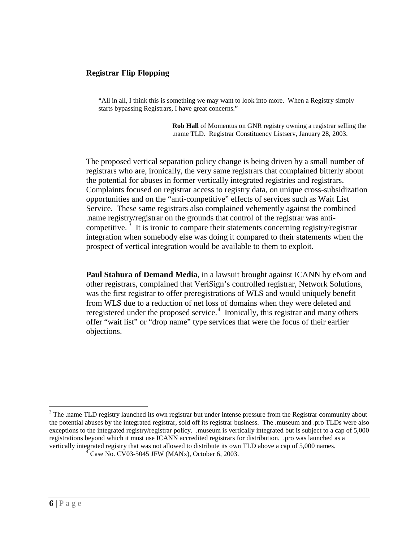#### **Registrar Flip Flopping**

"All in all, I think this is something we may want to look into more. When a Registry simply starts bypassing Registrars, I have great concerns."

> **Rob Hall** of Momentus on GNR registry owning a registrar selling the .name TLD. Registrar Constituency Listserv, January 28, 2003.

The proposed vertical separation policy change is being driven by a small number of registrars who are, ironically, the very same registrars that complained bitterly about the potential for abuses in former vertically integrated registries and registrars. Complaints focused on registrar access to registry data, on unique cross-subsidization opportunities and on the "anti-competitive" effects of services such as Wait List Service. These same registrars also complained vehemently against the combined .name registry/registrar on the grounds that control of the registrar was anti-competitive.<sup>[3](#page-6-0)</sup> It is ironic to compare their statements concerning registry/registrar integration when somebody else was doing it compared to their statements when the prospect of vertical integration would be available to them to exploit.

**Paul Stahura of Demand Media**, in a lawsuit brought against ICANN by eNom and other registrars, complained that VeriSign's controlled registrar, Network Solutions, was the first registrar to offer preregistrations of WLS and would uniquely benefit from WLS due to a reduction of net loss of domains when they were deleted and reregistered under the proposed service.<sup>[4](#page-6-1)</sup> Ironically, this registrar and many others offer "wait list" or "drop name" type services that were the focus of their earlier objections.

<span id="page-6-1"></span><span id="page-6-0"></span><sup>&</sup>lt;sup>3</sup> The .name TLD registry launched its own registrar but under intense pressure from the Registrar community about the potential abuses by the integrated registrar, sold off its registrar business. The .museum and .pro TLDs were also exceptions to the integrated registry/registrar policy. .museum is vertically integrated but is subject to a cap of 5,000 registrations beyond which it must use ICANN accredited registrars for distribution. .pro was launched as a vertically integrated registry that was not allowed to distribute its own TLD above a cap of 5,000 names. <sup>4</sup> Case No. CV03-5045 JFW (MANx), October 6, 2003.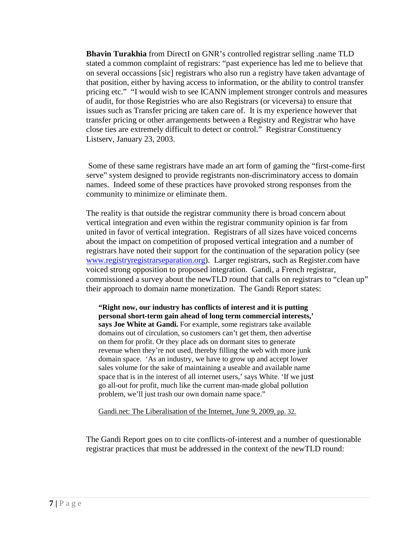**Bhavin Turakhia** from DirectI on GNR's controlled registrar selling .name TLD stated a common complaint of registrars: "past experience has led me to believe that on several occassions [sic] registrars who also run a registry have taken advantage of that position, either by having access to information, or the ability to control transfer pricing etc." "I would wish to see ICANN implement stronger controls and measures of audit, for those Registries who are also Registrars (or viceversa) to ensure that issues such as Transfer pricing are taken care of. It is my experience however that transfer pricing or other arrangements between a Registry and Registrar who have close ties are extremely difficult to detect or control." Registrar Constituency Listserv, January 23, 2003.

Some of these same registrars have made an art form of gaming the "first-come-first serve" system designed to provide registrants non-discriminatory access to domain names. Indeed some of these practices have provoked strong responses from the community to minimize or eliminate them.

The reality is that outside the registrar community there is broad concern about vertical integration and even within the registrar community opinion is far from united in favor of vertical integration. Registrars of all sizes have voiced concerns about the impact on competition of proposed vertical integration and a number of registrars have noted their support for the continuation of the separation policy (see [www.registryregistrarseparation.org\)](http://www.registryregistrarseparation.org/). Larger registrars, such as Register.com have voiced strong opposition to proposed integration. Gandi, a French registrar, commissioned a survey about the newTLD round that calls on registrars to "clean up" their approach to domain name monetization. The Gandi Report states:

**"Right now, our industry has conflicts of interest and it is putting personal short-term gain ahead of long term commercial interests,' says Joe White at Gandi.** For example, some registrars take available domains out of circulation, so customers can't get them, then advertise on them for profit. Or they place ads on dormant sites to generate revenue when they're not used, thereby filling the web with more junk domain space. 'As an industry, we have to grow up and accept lower sales volume for the sake of maintaining a useable and available name space that is in the interest of all internet users,' says White. 'If we just go all-out for profit, much like the current man-made global pollution problem, we'll just trash our own domain name space."

Gandi.net: The Liberalisation of the Internet, June 9, 2009, pp. 32.

The Gandi Report goes on to cite conflicts-of-interest and a number of questionable registrar practices that must be addressed in the context of the newTLD round: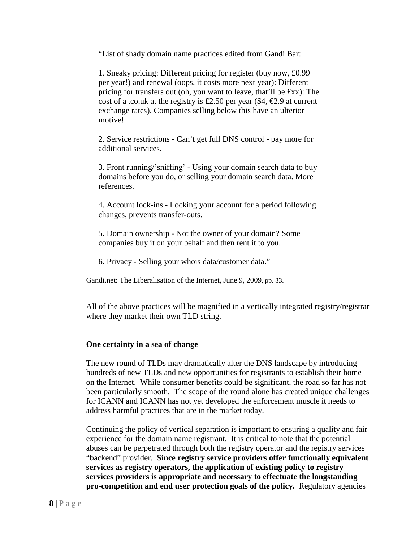"List of shady domain name practices edited from Gandi Bar:

1. Sneaky pricing: Different pricing for register (buy now, £0.99 per year!) and renewal (oops, it costs more next year): Different pricing for transfers out (oh, you want to leave, that'll be £xx): The cost of a .co.uk at the registry is £2.50 per year (\$4,  $\epsilon$ 2.9 at current exchange rates). Companies selling below this have an ulterior motive!

2. Service restrictions - Can't get full DNS control - pay more for additional services.

3. Front running/'sniffing' - Using your domain search data to buy domains before you do, or selling your domain search data. More references.

4. Account lock-ins - Locking your account for a period following changes, prevents transfer-outs.

5. Domain ownership - Not the owner of your domain? Some companies buy it on your behalf and then rent it to you.

6. Privacy - Selling your whois data/customer data."

Gandi.net: The Liberalisation of the Internet, June 9, 2009, pp. 33.

All of the above practices will be magnified in a vertically integrated registry/registrar where they market their own TLD string.

### **One certainty in a sea of change**

The new round of TLDs may dramatically alter the DNS landscape by introducing hundreds of new TLDs and new opportunities for registrants to establish their home on the Internet. While consumer benefits could be significant, the road so far has not been particularly smooth. The scope of the round alone has created unique challenges for ICANN and ICANN has not yet developed the enforcement muscle it needs to address harmful practices that are in the market today.

Continuing the policy of vertical separation is important to ensuring a quality and fair experience for the domain name registrant. It is critical to note that the potential abuses can be perpetrated through both the registry operator and the registry services "backend" provider. **Since registry service providers offer functionally equivalent services as registry operators, the application of existing policy to registry services providers is appropriate and necessary to effectuate the longstanding pro-competition and end user protection goals of the policy.** Regulatory agencies